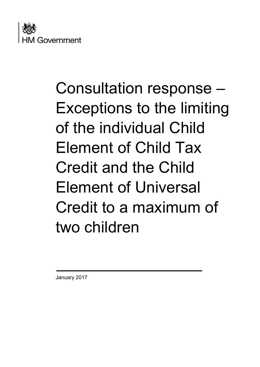

# Consultation response – Exceptions to the limiting of the individual Child Element of Child Tax Credit and the Child Element of Universal Credit to a maximum of two children

January 2017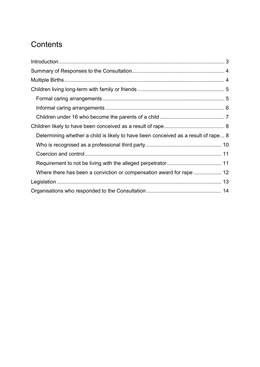# **Contents**

| Determining whether a child is likely to have been conceived as a result of rape 8 |  |
|------------------------------------------------------------------------------------|--|
|                                                                                    |  |
|                                                                                    |  |
|                                                                                    |  |
|                                                                                    |  |
|                                                                                    |  |
|                                                                                    |  |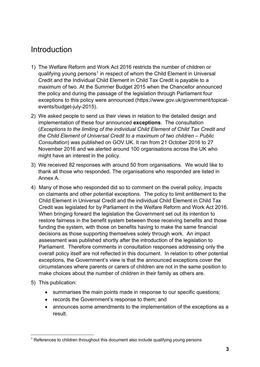# <span id="page-2-0"></span>Introduction

- 1) The Welfare Reform and Work Act 2016 restricts the number of children or qualifying young persons<sup>[1](#page-2-1)</sup> in respect of whom the Child Element in Universal Credit and the Individual Child Element in Child Tax Credit is payable to a maximum of two. At the Summer Budget 2015 when the Chancellor announced the policy and during the passage of the legislation through Parliament four exceptions to this policy were announced (https://www.gov.uk/government/topicalevents/budget-july-2015).
- 2) We asked people to send us their views in relation to the detailed design and implementation of these four announced **exceptions**. The consultation (*Exceptions to the limiting of the individual Child Element of Child Tax Credit and the Child Element of Universal Credit to a maximum of two children – Public Consultation*) was published on GOV.UK. It ran from 21 October 2016 to 27 November 2016 and we alerted around 100 organisations across the UK who might have an interest in the policy.
- 3) We received 82 responses with around 50 from organisations. We would like to thank all those who responded. The organisations who responded are listed in Annex A.
- 4) Many of those who responded did so to comment on the overall policy, impacts on claimants and other potential exceptions. The policy to limit entitlement to the Child Element in Universal Credit and the individual Child Element in Child Tax Credit was legislated for by Parliament in the Welfare Reform and Work Act 2016. When bringing forward the legislation the Government set out its intention to restore fairness in the benefit system between those receiving benefits and those funding the system, with those on benefits having to make the same financial decisions as those supporting themselves solely through work. An impact assessment was published shortly after the introduction of the legislation to Parliament. Therefore comments in consultation responses addressing only the overall policy itself are not reflected in this document. In relation to other potential exceptions, the Government's view is that the announced exceptions cover the circumstances where parents or carers of children are not in the same position to make choices about the number of children in their family as others are.
- 5) This publication:
	- summarises the main points made in response to our specific questions;
	- records the Government's response to them; and
	- announces some amendments to the implementation of the exceptions as a result.

<span id="page-2-1"></span><sup>-</sup><sup>1</sup> References to children throughout this document also include qualifying young persons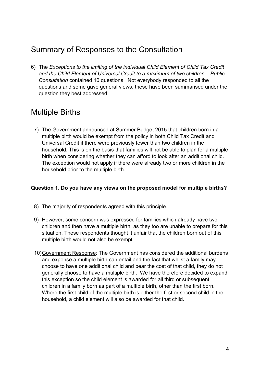# <span id="page-3-0"></span>Summary of Responses to the Consultation

6) The *Exceptions to the limiting of the individual Child Element of Child Tax Credit and the Child Element of Universal Credit to a maximum of two children – Public Consultation* contained 10 questions. Not everybody responded to all the questions and some gave general views, these have been summarised under the question they best addressed.

# <span id="page-3-1"></span>Multiple Births

7) The Government announced at Summer Budget 2015 that children born in a multiple birth would be exempt from the policy in both Child Tax Credit and Universal Credit if there were previously fewer than two children in the household. This is on the basis that families will not be able to plan for a multiple birth when considering whether they can afford to look after an additional child. The exception would not apply if there were already two or more children in the household prior to the multiple birth.

#### **Question 1. Do you have any views on the proposed model for multiple births?**

- 8) The majority of respondents agreed with this principle.
- 9) However, some concern was expressed for families which already have two children and then have a multiple birth, as they too are unable to prepare for this situation. These respondents thought it unfair that the children born out of this multiple birth would not also be exempt.
- 10)Government Response: The Government has considered the additional burdens and expense a multiple birth can entail and the fact that whilst a family may choose to have one additional child and bear the cost of that child, they do not generally choose to have a multiple birth. We have therefore decided to expand this exception so the child element is awarded for all third or subsequent children in a family born as part of a multiple birth, other than the first born. Where the first child of the multiple birth is either the first or second child in the household, a child element will also be awarded for that child.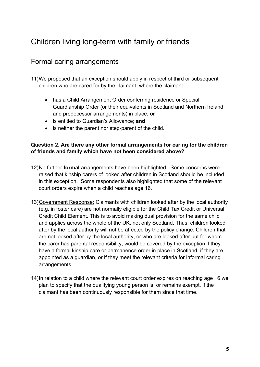# <span id="page-4-1"></span><span id="page-4-0"></span>Children living long-term with family or friends

### Formal caring arrangements

- 11)We proposed that an exception should apply in respect of third or subsequent children who are cared for by the claimant, where the claimant:
	- has a Child Arrangement Order conferring residence or Special Guardianship Order (or their equivalents in Scotland and Northern Ireland and predecessor arrangements) in place; **or**
	- is entitled to Guardian's Allowance; **and**
	- is neither the parent nor step-parent of the child.

#### **Question 2. Are there any other formal arrangements for caring for the children of friends and family which have not been considered above?**

- 12)No further **formal** arrangements have been highlighted. Some concerns were raised that kinship carers of looked after children in Scotland should be included in this exception. Some respondents also highlighted that some of the relevant court orders expire when a child reaches age 16.
- 13)Government Response: Claimants with children looked after by the local authority (e.g. in foster care) are not normally eligible for the Child Tax Credit or Universal Credit Child Element. This is to avoid making dual provision for the same child and applies across the whole of the UK, not only Scotland. Thus, children looked after by the local authority will not be affected by the policy change. Children that are not looked after by the local authority, or who are looked after but for whom the carer has parental responsibility, would be covered by the exception if they have a formal kinship care or permanence order in place in Scotland, if they are appointed as a guardian, or if they meet the relevant criteria for informal caring arrangements.
- 14)In relation to a child where the relevant court order expires on reaching age 16 we plan to specify that the qualifying young person is, or remains exempt, if the claimant has been continuously responsible for them since that time.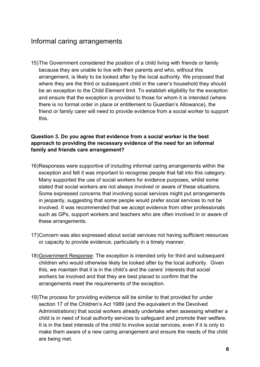### <span id="page-5-0"></span>Informal caring arrangements

15)The Government considered the position of a child living with friends or family because they are unable to live with their parents and who, without this arrangement, is likely to be looked after by the local authority. We proposed that where they are the third or subsequent child in the carer's household they should be an exception to the Child Element limit. To establish eligibility for the exception and ensure that the exception is provided to those for whom it is intended (where there is no formal order in place or entitlement to Guardian's Allowance), the friend or family carer will need to provide evidence from a social worker to support this.

#### **Question 3. Do you agree that evidence from a social worker is the best approach to providing the necessary evidence of the need for an informal family and friends care arrangement?**

- 16)Responses were supportive of including informal caring arrangements within the exception and felt it was important to recognise people that fall into this category. Many supported the use of social workers for evidence purposes, whilst some stated that social workers are not always involved or aware of these situations. Some expressed concerns that involving social services might put arrangements in jeopardy, suggesting that some people would prefer social services to not be involved. It was recommended that we accept evidence from other professionals such as GPs, support workers and teachers who are often involved in or aware of these arrangements.
- 17)Concern was also expressed about social services not having sufficient resources or capacity to provide evidence, particularly in a timely manner.
- 18)Government Response: The exception is intended only for third and subsequent children who would otherwise likely be looked after by the local authority. Given this, we maintain that it is in the child's and the carers' interests that social workers be involved and that they are best placed to confirm that the arrangements meet the requirements of the exception.
- 19)The process for providing evidence will be similar to that provided for under section 17 of the Children's Act 1989 (and the equivalent in the Devolved Administrations) that social workers already undertake when assessing whether a child is in need of local authority services to safeguard and promote their welfare. It is in the best interests of the child to involve social services, even if it is only to make them aware of a new caring arrangement and ensure the needs of the child are being met.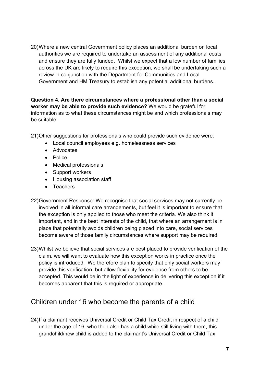20)Where a new central Government policy places an additional burden on local authorities we are required to undertake an assessment of any additional costs and ensure they are fully funded. Whilst we expect that a low number of families across the UK are likely to require this exception, we shall be undertaking such a review in conjunction with the Department for Communities and Local Government and HM Treasury to establish any potential additional burdens.

**Question 4. Are there circumstances where a professional other than a social worker may be able to provide such evidence?** We would be grateful for information as to what these circumstances might be and which professionals may be suitable.

21)Other suggestions for professionals who could provide such evidence were:

- Local council employees e.g. homelessness services
- Advocates
- Police
- Medical professionals
- Support workers
- Housing association staff
- Teachers
- 22)Government Response: We recognise that social services may not currently be involved in all informal care arrangements, but feel it is important to ensure that the exception is only applied to those who meet the criteria. We also think it important, and in the best interests of the child, that where an arrangement is in place that potentially avoids children being placed into care, social services become aware of those family circumstances where support may be required.
- 23)Whilst we believe that social services are best placed to provide verification of the claim, we will want to evaluate how this exception works in practice once the policy is introduced. We therefore plan to specify that only social workers may provide this verification, but allow flexibility for evidence from others to be accepted. This would be in the light of experience in delivering this exception if it becomes apparent that this is required or appropriate.

#### <span id="page-6-0"></span>Children under 16 who become the parents of a child

24)If a claimant receives Universal Credit or Child Tax Credit in respect of a child under the age of 16, who then also has a child while still living with them, this grandchild/new child is added to the claimant's Universal Credit or Child Tax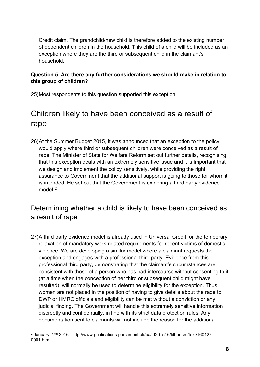Credit claim. The grandchild/new child is therefore added to the existing number of dependent children in the household. This child of a child will be included as an exception where they are the third or subsequent child in the claimant's household.

#### **Question 5. Are there any further considerations we should make in relation to this group of children?**

<span id="page-7-0"></span>25)Most respondents to this question supported this exception.

# Children likely to have been conceived as a result of rape

26)At the Summer Budget 2015, it was announced that an exception to the policy would apply where third or subsequent children were conceived as a result of rape. The Minister of State for Welfare Reform set out further details, recognising that this exception deals with an extremely sensitive issue and it is important that we design and implement the policy sensitively, while providing the right assurance to Government that the additional support is going to those for whom it is intended. He set out that the Government is exploring a third party evidence model.<sup>[2](#page-7-2)</sup>

### <span id="page-7-1"></span>Determining whether a child is likely to have been conceived as a result of rape

27)A third party evidence model is already used in Universal Credit for the temporary relaxation of mandatory work-related requirements for recent victims of domestic violence. We are developing a similar model where a claimant requests the exception and engages with a professional third party. Evidence from this professional third party, demonstrating that the claimant's circumstances are consistent with those of a person who has had intercourse without consenting to it (at a time when the conception of her third or subsequent child might have resulted), will normally be used to determine eligibility for the exception. Thus women are not placed in the position of having to give details about the rape to DWP or HMRC officials and eligibility can be met without a conviction or any judicial finding. The Government will handle this extremely sensitive information discreetly and confidentially, in line with its strict data protection rules. Any documentation sent to claimants will not include the reason for the additional

<span id="page-7-2"></span><sup>-</sup><sup>2</sup> January 27<sup>th</sup> 2016. http://www.publications.parliament.uk/pa/ld201516/ldhansrd/text/160127-0001.htm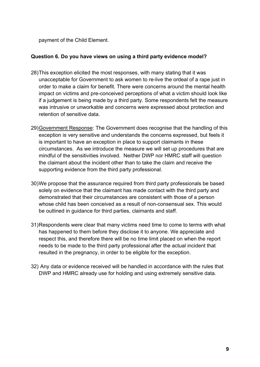payment of the Child Element.

#### **Question 6. Do you have views on using a third party evidence model?**

- 28)This exception elicited the most responses, with many stating that it was unacceptable for Government to ask women to re-live the ordeal of a rape just in order to make a claim for benefit. There were concerns around the mental health impact on victims and pre-conceived perceptions of what a victim should look like if a judgement is being made by a third party. Some respondents felt the measure was intrusive or unworkable and concerns were expressed about protection and retention of sensitive data.
- 29)Government Response: The Government does recognise that the handling of this exception is very sensitive and understands the concerns expressed, but feels it is important to have an exception in place to support claimants in these circumstances. As we introduce the measure we will set up procedures that are mindful of the sensitivities involved. Neither DWP nor HMRC staff will question the claimant about the incident other than to take the claim and receive the supporting evidence from the third party professional.
- 30) We propose that the assurance required from third party professionals be based solely on evidence that the claimant has made contact with the third party and demonstrated that their circumstances are consistent with those of a person whose child has been conceived as a result of non-consensual sex. This would be outlined in guidance for third parties, claimants and staff.
- 31)Respondents were clear that many victims need time to come to terms with what has happened to them before they disclose it to anyone. We appreciate and respect this, and therefore there will be no time limit placed on when the report needs to be made to the third party professional after the actual incident that resulted in the pregnancy, in order to be eligible for the exception.
- 32) Any data or evidence received will be handled in accordance with the rules that DWP and HMRC already use for holding and using extremely sensitive data.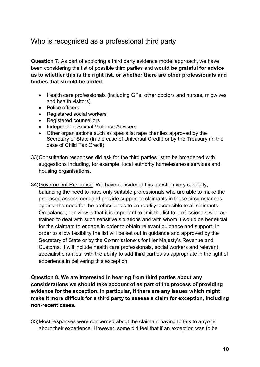### <span id="page-9-0"></span>Who is recognised as a professional third party

**Question 7.** As part of exploring a third party evidence model approach, we have been considering the list of possible third parties and **would be grateful for advice as to whether this is the right list, or whether there are other professionals and bodies that should be added**:

- Health care professionals (including GPs, other doctors and nurses, midwives and health visitors)
- Police officers
- Registered social workers
- Registered counsellors
- Independent Sexual Violence Advisers
- Other organisations such as specialist rape charities approved by the Secretary of State (in the case of Universal Credit) or by the Treasury (in the case of Child Tax Credit)
- 33) Consultation responses did ask for the third parties list to be broadened with suggestions including, for example, local authority homelessness services and housing organisations.
- 34)Government Response: We have considered this question very carefully, balancing the need to have only suitable professionals who are able to make the proposed assessment and provide support to claimants in these circumstances against the need for the professionals to be readily accessible to all claimants. On balance, our view is that it is important to limit the list to professionals who are trained to deal with such sensitive situations and with whom it would be beneficial for the claimant to engage in order to obtain relevant guidance and support. In order to allow flexibility the list will be set out in guidance and approved by the Secretary of State or by the Commissioners for Her Majesty's Revenue and Customs. It will include health care professionals, social workers and relevant specialist charities, with the ability to add third parties as appropriate in the light of experience in delivering this exception.

**Question 8. We are interested in hearing from third parties about any considerations we should take account of as part of the process of providing evidence for the exception. In particular, if there are any issues which might make it more difficult for a third party to assess a claim for exception, including non-recent cases.**

35)Most responses were concerned about the claimant having to talk to anyone about their experience. However, some did feel that if an exception was to be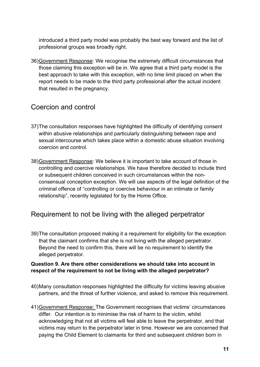introduced a third party model was probably the best way forward and the list of professional groups was broadly right.

36)Government Response: We recognise the extremely difficult circumstances that those claiming this exception will be in. We agree that a third party model is the best approach to take with this exception, with no time limit placed on when the report needs to be made to the third party professional after the actual incident that resulted in the pregnancy.

### <span id="page-10-0"></span>Coercion and control

- 37)The consultation responses have highlighted the difficulty of identifying consent within abusive relationships and particularly distinguishing between rape and sexual intercourse which takes place within a domestic abuse situation involving coercion and control.
- 38)Government Response: We believe it is important to take account of those in controlling and coercive relationships. We have therefore decided to include third or subsequent children conceived in such circumstances within the nonconsensual conception exception. We will use aspects of the legal definition of the criminal offence of "controlling or coercive behaviour in an intimate or family relationship", recently legislated for by the Home Office.

### <span id="page-10-1"></span>Requirement to not be living with the alleged perpetrator

39)The consultation proposed making it a requirement for eligibility for the exception that the claimant confirms that she is not living with the alleged perpetrator. Beyond the need to confirm this, there will be no requirement to identify the alleged perpetrator.

#### **Question 9. Are there other considerations we should take into account in respect of the requirement to not be living with the alleged perpetrator?**

- 40)Many consultation responses highlighted the difficulty for victims leaving abusive partners, and the threat of further violence, and asked to remove this requirement.
- 41)Government Response: The Government recognises that victims' circumstances differ. Our intention is to minimise the risk of harm to the victim, whilst acknowledging that not all victims will feel able to leave the perpetrator, and that victims may return to the perpetrator later in time. However we are concerned that paying the Child Element to claimants for third and subsequent children born in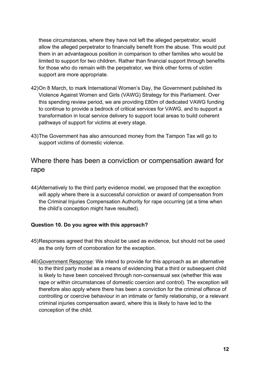these circumstances, where they have not left the alleged perpetrator, would allow the alleged perpetrator to financially benefit from the abuse. This would put them in an advantageous position in comparison to other families who would be limited to support for two children. Rather than financial support through benefits for those who do remain with the perpetrator, we think other forms of victim support are more appropriate.

- 42)On 8 March, to mark International Women's Day, the Government published its Violence Against Women and Girls (VAWG) Strategy for this Parliament. Over this spending review period, we are providing £80m of dedicated VAWG funding to continue to provide a bedrock of critical services for VAWG, and to support a transformation in local service delivery to support local areas to build coherent pathways of support for victims at every stage.
- 43)The Government has also announced money from the Tampon Tax will go to support victims of domestic violence.

### <span id="page-11-0"></span>Where there has been a conviction or compensation award for rape

44)Alternatively to the third party evidence model, we proposed that the exception will apply where there is a successful conviction or award of compensation from the Criminal Injuries Compensation Authority for rape occurring (at a time when the child's conception might have resulted).

#### **Question 10. Do you agree with this approach?**

- 45)Responses agreed that this should be used as evidence, but should not be used as the only form of corroboration for the exception.
- 46)Government Response: We intend to provide for this approach as an alternative to the third party model as a means of evidencing that a third or subsequent child is likely to have been conceived through non-consensual sex (whether this was rape or within circumstances of domestic coercion and control). The exception will therefore also apply where there has been a conviction for the criminal offence of controlling or coercive behaviour in an intimate or family relationship, or a relevant criminal injuries compensation award, where this is likely to have led to the conception of the child.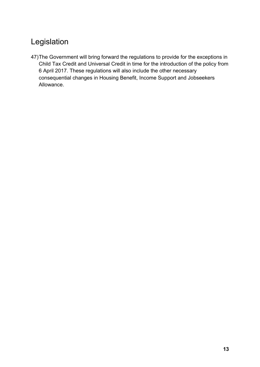# <span id="page-12-0"></span>Legislation

47)The Government will bring forward the regulations to provide for the exceptions in Child Tax Credit and Universal Credit in time for the introduction of the policy from 6 April 2017. These regulations will also include the other necessary consequential changes in Housing Benefit, Income Support and Jobseekers Allowance.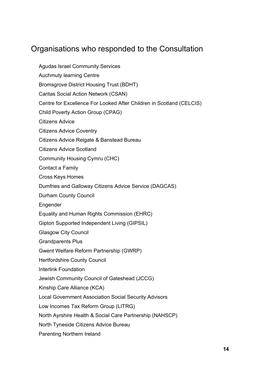# <span id="page-13-0"></span>Organisations who responded to the Consultation

Agudas Israel Community Services Auchmuty learning Centre Bromsgrove District Housing Trust (BDHT) Caritas Social Action Network (CSAN) Centre for Excellence For Looked After Children in Scotland (CELCIS) Child Poverty Action Group (CPAG) Citizens Advice Citizens Advice Coventry Citizens Advice Reigate & Banstead Bureau Citizens Advice Scotland Community Housing Cymru (CHC) Contact a Family Cross Keys Homes Dumfries and Galloway Citizens Advice Service (DAGCAS) Durham County Council Engender Equality and Human Rights Commission (EHRC) Gipton Supported Independent Living (GIPSIL) Glasgow City Council Grandparents Plus Gwent Welfare Reform Partnership (GWRP) Hertfordshire County Council Interlink Foundation Jewish Community Council of Gateshead (JCCG) Kinship Care Alliance (KCA) Local Government Association Social Security Advisors Low Incomes Tax Reform Group (LITRG) North Ayrshire Health & Social Care Partnership (NAHSCP) North Tyneside Citizens Advice Bureau Parenting Northern Ireland